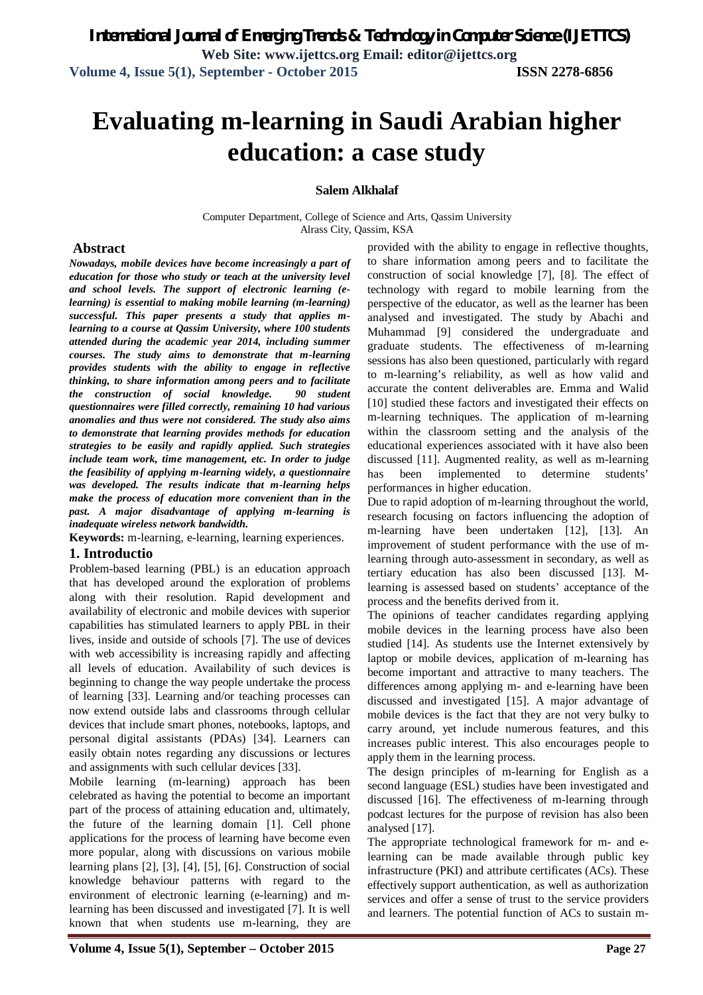# **Evaluating m-learning in Saudi Arabian higher education: a case study**

#### **Salem Alkhalaf**

Computer Department, College of Science and Arts, Qassim University Alrass City, Qassim, KSA

#### **Abstract**

*Nowadays, mobile devices have become increasingly a part of education for those who study or teach at the university level and school levels. The support of electronic learning (elearning) is essential to making mobile learning (m-learning) successful. This paper presents a study that applies mlearning to a course at Qassim University, where 100 students attended during the academic year 2014, including summer courses. The study aims to demonstrate that m-learning provides students with the ability to engage in reflective thinking, to share information among peers and to facilitate the construction of social knowledge. 90 student questionnaires were filled correctly, remaining 10 had various anomalies and thus were not considered. The study also aims to demonstrate that learning provides methods for education strategies to be easily and rapidly applied. Such strategies include team work, time management, etc. In order to judge the feasibility of applying m-learning widely, a questionnaire was developed. The results indicate that m-learning helps make the process of education more convenient than in the past. A major disadvantage of applying m-learning is inadequate wireless network bandwidth.*

**Keywords:** m-learning, e-learning, learning experiences.

#### **1. Introductio**

Problem-based learning (PBL) is an education approach that has developed around the exploration of problems along with their resolution. Rapid development and availability of electronic and mobile devices with superior capabilities has stimulated learners to apply PBL in their lives, inside and outside of schools [7]. The use of devices with web accessibility is increasing rapidly and affecting all levels of education. Availability of such devices is beginning to change the way people undertake the process of learning [33]. Learning and/or teaching processes can now extend outside labs and classrooms through cellular devices that include smart phones, notebooks, laptops, and personal digital assistants (PDAs) [34]. Learners can easily obtain notes regarding any discussions or lectures and assignments with such cellular devices [33].

Mobile learning (m-learning) approach has been celebrated as having the potential to become an important part of the process of attaining education and, ultimately, the future of the learning domain [1]. Cell phone applications for the process of learning have become even more popular, along with discussions on various mobile learning plans [2], [3], [4], [5], [6]. Construction of social knowledge behaviour patterns with regard to the environment of electronic learning (e-learning) and mlearning has been discussed and investigated [7]. It is well known that when students use m-learning, they are

provided with the ability to engage in reflective thoughts, to share information among peers and to facilitate the construction of social knowledge [7], [8]. The effect of technology with regard to mobile learning from the perspective of the educator, as well as the learner has been analysed and investigated. The study by Abachi and Muhammad [9] considered the undergraduate and graduate students. The effectiveness of m-learning sessions has also been questioned, particularly with regard to m-learning's reliability, as well as how valid and accurate the content deliverables are. Emma and Walid [10] studied these factors and investigated their effects on m-learning techniques. The application of m-learning within the classroom setting and the analysis of the educational experiences associated with it have also been discussed [11]. Augmented reality, as well as m-learning has been implemented to determine students' performances in higher education.

Due to rapid adoption of m-learning throughout the world, research focusing on factors influencing the adoption of m-learning have been undertaken [12], [13]. An improvement of student performance with the use of mlearning through auto-assessment in secondary, as well as tertiary education has also been discussed [13]. Mlearning is assessed based on students' acceptance of the process and the benefits derived from it.

The opinions of teacher candidates regarding applying mobile devices in the learning process have also been studied [14]. As students use the Internet extensively by laptop or mobile devices, application of m-learning has become important and attractive to many teachers. The differences among applying m- and e-learning have been discussed and investigated [15]. A major advantage of mobile devices is the fact that they are not very bulky to carry around, yet include numerous features, and this increases public interest. This also encourages people to apply them in the learning process.

The design principles of m-learning for English as a second language (ESL) studies have been investigated and discussed [16]. The effectiveness of m-learning through podcast lectures for the purpose of revision has also been analysed [17].

The appropriate technological framework for m- and elearning can be made available through public key infrastructure (PKI) and attribute certificates (ACs). These effectively support authentication, as well as authorization services and offer a sense of trust to the service providers and learners. The potential function of ACs to sustain m-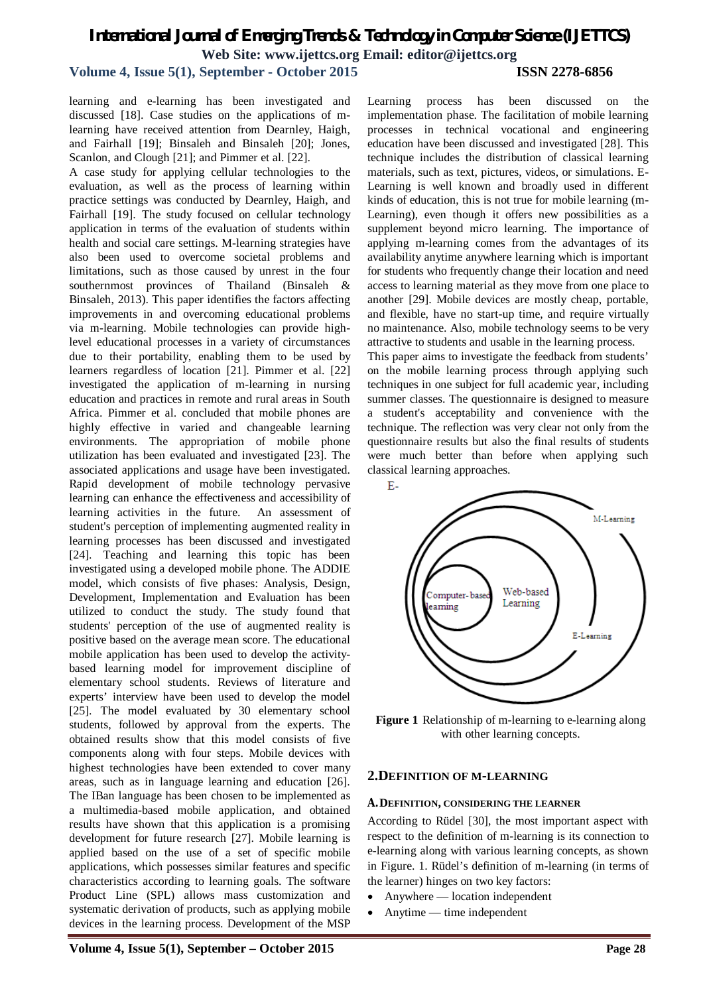# **Volume 4, Issue 5(1), September - October 2015 ISSN 2278-6856**

learning and e-learning has been investigated and discussed [18]. Case studies on the applications of mlearning have received attention from Dearnley, Haigh, and Fairhall [19]; Binsaleh and Binsaleh [20]; Jones, Scanlon, and Clough [21]; and Pimmer et al. [22].

A case study for applying cellular technologies to the evaluation, as well as the process of learning within practice settings was conducted by Dearnley, Haigh, and Fairhall [19]. The study focused on cellular technology application in terms of the evaluation of students within health and social care settings. M-learning strategies have also been used to overcome societal problems and limitations, such as those caused by unrest in the four southernmost provinces of Thailand (Binsaleh & Binsaleh, 2013). This paper identifies the factors affecting improvements in and overcoming educational problems via m-learning. Mobile technologies can provide highlevel educational processes in a variety of circumstances due to their portability, enabling them to be used by learners regardless of location [21]. Pimmer et al. [22] investigated the application of m-learning in nursing education and practices in remote and rural areas in South Africa. Pimmer et al. concluded that mobile phones are highly effective in varied and changeable learning environments. The appropriation of mobile phone utilization has been evaluated and investigated [23]. The associated applications and usage have been investigated. Rapid development of mobile technology pervasive learning can enhance the effectiveness and accessibility of learning activities in the future. An assessment of student's perception of implementing augmented reality in learning processes has been discussed and investigated [24]. Teaching and learning this topic has been investigated using a developed mobile phone. The ADDIE model, which consists of five phases: Analysis, Design, Development, Implementation and Evaluation has been utilized to conduct the study. The study found that students' perception of the use of augmented reality is positive based on the average mean score. The educational mobile application has been used to develop the activitybased learning model for improvement discipline of elementary school students. Reviews of literature and experts' interview have been used to develop the model [25]. The model evaluated by 30 elementary school students, followed by approval from the experts. The obtained results show that this model consists of five components along with four steps. Mobile devices with highest technologies have been extended to cover many areas, such as in language learning and education [26]. The IBan language has been chosen to be implemented as a multimedia-based mobile application, and obtained results have shown that this application is a promising development for future research [27]. Mobile learning is applied based on the use of a set of specific mobile applications, which possesses similar features and specific characteristics according to learning goals. The software Product Line (SPL) allows mass customization and systematic derivation of products, such as applying mobile devices in the learning process. Development of the MSP

Learning process has been discussed on the implementation phase. The facilitation of mobile learning processes in technical vocational and engineering education have been discussed and investigated [28]. This technique includes the distribution of classical learning materials, such as text, pictures, videos, or simulations. E-Learning is well known and broadly used in different kinds of education, this is not true for mobile learning (m-Learning), even though it offers new possibilities as a supplement beyond micro learning. The importance of applying m-learning comes from the advantages of its availability anytime anywhere learning which is important for students who frequently change their location and need access to learning material as they move from one place to another [29]. Mobile devices are mostly cheap, portable, and flexible, have no start-up time, and require virtually no maintenance. Also, mobile technology seems to be very attractive to students and usable in the learning process.

This paper aims to investigate the feedback from students' on the mobile learning process through applying such techniques in one subject for full academic year, including summer classes. The questionnaire is designed to measure a student's acceptability and convenience with the technique. The reflection was very clear not only from the questionnaire results but also the final results of students were much better than before when applying such classical learning approaches.



**Figure 1** Relationship of m-learning to e-learning along with other learning concepts.

# **2.DEFINITION OF M-LEARNING**

#### **A.DEFINITION, CONSIDERING THE LEARNER**

According to Rüdel [30], the most important aspect with respect to the definition of m-learning is its connection to e-learning along with various learning concepts, as shown in Figure. 1. Rüdel's definition of m-learning (in terms of the learner) hinges on two key factors:

- Anywhere location independent
- Anytime time independent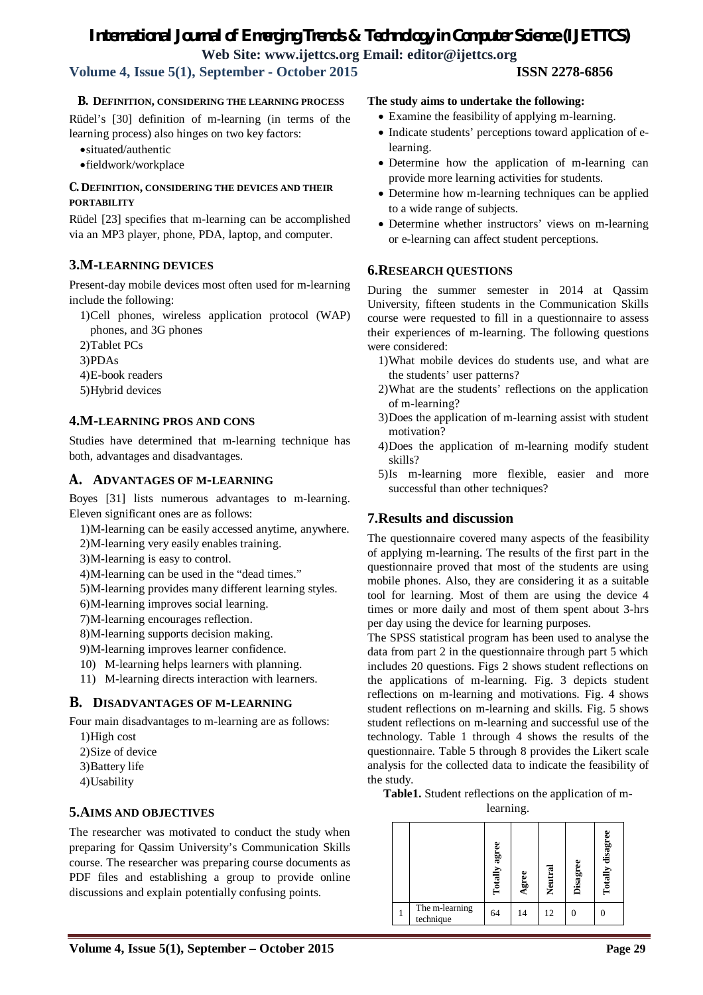# **Volume 4, Issue 5(1), September - October 2015 ISSN 2278-6856**

**B. DEFINITION, CONSIDERING THE LEARNING PROCESS** 

Rüdel's [30] definition of m-learning (in terms of the learning process) also hinges on two key factors:

- situated/authentic
- fieldwork/workplace

# **C. DEFINITION, CONSIDERING THE DEVICES AND THEIR PORTABILITY**

Rüdel [23] specifies that m-learning can be accomplished via an MP3 player, phone, PDA, laptop, and computer.

# **3.M-LEARNING DEVICES**

Present-day mobile devices most often used for m-learning include the following:

1)Cell phones, wireless application protocol (WAP) phones, and 3G phones

2)Tablet PCs

3)PDAs

- 4)E-book readers
- 5)Hybrid devices

# **4.M-LEARNING PROS AND CONS**

Studies have determined that m-learning technique has both, advantages and disadvantages.

# **A. ADVANTAGES OF M-LEARNING**

Boyes [31] lists numerous advantages to m-learning. Eleven significant ones are as follows:

1)M-learning can be easily accessed anytime, anywhere.

- 2)M-learning very easily enables training.
- 3)M-learning is easy to control.
- 4)M-learning can be used in the "dead times."
- 5)M-learning provides many different learning styles.
- 6)M-learning improves social learning.
- 7)M-learning encourages reflection.
- 8)M-learning supports decision making.
- 9)M-learning improves learner confidence.
- 10) M-learning helps learners with planning.
- 11) M-learning directs interaction with learners.

# **B. DISADVANTAGES OF M-LEARNING**

Four main disadvantages to m-learning are as follows:

- 1)High cost
- 2)Size of device
- 3)Battery life
- 4)Usability

# **5.AIMS AND OBJECTIVES**

The researcher was motivated to conduct the study when preparing for Qassim University's Communication Skills course. The researcher was preparing course documents as PDF files and establishing a group to provide online discussions and explain potentially confusing points.

# **The study aims to undertake the following:**

- Examine the feasibility of applying m-learning.
- Indicate students' perceptions toward application of elearning.
- Determine how the application of m-learning can provide more learning activities for students.
- Determine how m-learning techniques can be applied to a wide range of subjects.
- Determine whether instructors' views on m-learning or e-learning can affect student perceptions.

# **6.RESEARCH QUESTIONS**

During the summer semester in 2014 at Qassim University, fifteen students in the Communication Skills course were requested to fill in a questionnaire to assess their experiences of m-learning. The following questions were considered:

- 1)What mobile devices do students use, and what are the students' user patterns?
- 2)What are the students' reflections on the application of m-learning?
- 3)Does the application of m-learning assist with student motivation?
- 4)Does the application of m-learning modify student skills?
- 5)Is m-learning more flexible, easier and more successful than other techniques?

# **7.Results and discussion**

The questionnaire covered many aspects of the feasibility of applying m-learning. The results of the first part in the questionnaire proved that most of the students are using mobile phones. Also, they are considering it as a suitable tool for learning. Most of them are using the device 4 times or more daily and most of them spent about 3-hrs per day using the device for learning purposes.

The SPSS statistical program has been used to analyse the data from part 2 in the questionnaire through part 5 which includes 20 questions. Figs 2 shows student reflections on the applications of m-learning. Fig. 3 depicts student reflections on m-learning and motivations. Fig. 4 shows student reflections on m-learning and skills. Fig. 5 shows student reflections on m-learning and successful use of the technology. Table 1 through 4 shows the results of the questionnaire. Table 5 through 8 provides the Likert scale analysis for the collected data to indicate the feasibility of the study.

**Table1.** Student reflections on the application of m-

learning.

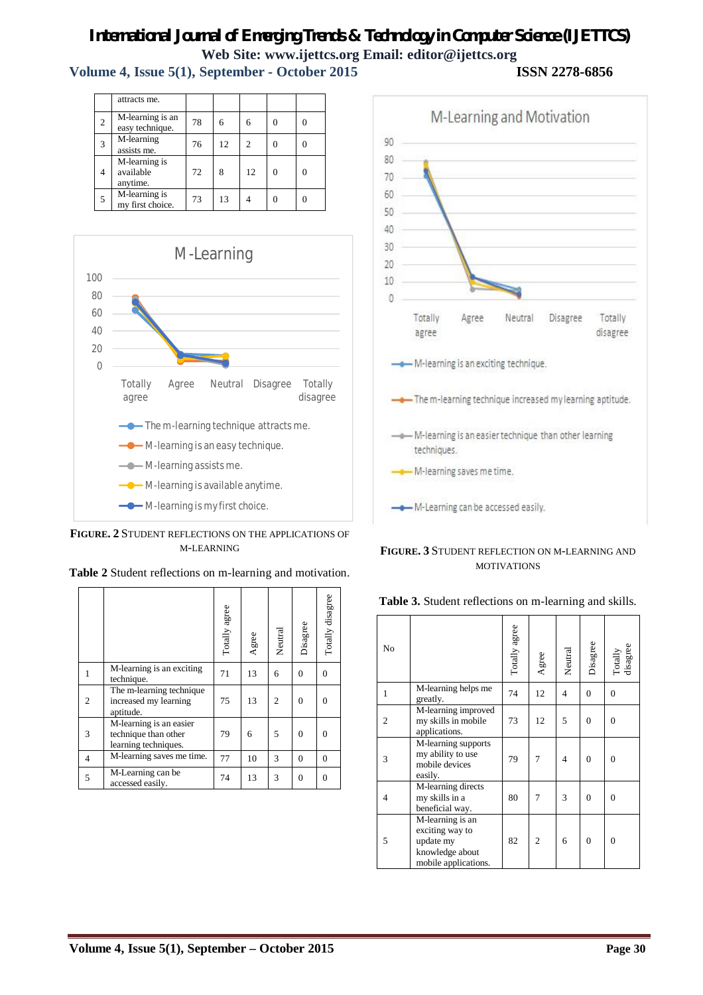**Volume 4, Issue 5(1), September - October 2015 ISSN 2278-6856**

|                | attracts me.                           |    |    |    |   |  |
|----------------|----------------------------------------|----|----|----|---|--|
| $\overline{c}$ | M-learning is an<br>easy technique.    | 78 | 6  |    |   |  |
| 3              | M-learning<br>assists me.              | 76 | 12 | っ  |   |  |
| 4              | M-learning is<br>available<br>anytime. | 72 | 8  | 12 | 0 |  |
| 5              | M-learning is<br>my first choice.      | 73 | 13 |    |   |  |



**FIGURE. 2** STUDENT REFLECTIONS ON THE APPLICATIONS OF M-LEARNING

|   |                                                                         | Totally agree | Agree | Neutral        | Disagree | Totally disagree |
|---|-------------------------------------------------------------------------|---------------|-------|----------------|----------|------------------|
|   | M-learning is an exciting<br>technique.                                 | 71            | 13    | 6              | $\Omega$ | $\Omega$         |
| 2 | The m-learning technique<br>increased my learning<br>aptitude.          | 75            | 13    | $\overline{c}$ | $\Omega$ | $\theta$         |
| 3 | M-learning is an easier<br>technique than other<br>learning techniques. | 79            | 6     | 5              | $\Omega$ | 0                |
| 4 | M-learning saves me time.                                               | 77            | 10    | 3              | $\Omega$ | $\theta$         |
| 5 | $\overline{M}$ -Learning can be<br>accessed easily.                     | 74            | 13    | 3              | $\Omega$ | $\Omega$         |

**Table 2** Student reflections on m-learning and motivation.



#### **FIGURE. 3** STUDENT REFLECTION ON M-LEARNING AND MOTIVATIONS

| No             |                                                                                                           | Totally agree | Agree | Neutral        | Disagree         | Totally<br>disagree |
|----------------|-----------------------------------------------------------------------------------------------------------|---------------|-------|----------------|------------------|---------------------|
| 1              | M-learning helps me<br>greatly.                                                                           | 74            | 12    | $\overline{4}$ | $\mathbf{0}$     | $\theta$            |
| $\overline{2}$ | M-learning improved<br>my skills in mobile<br>applications.                                               | 73            | 12    | 5              | $\overline{0}$   | $\theta$            |
| 3              | M-learning supports<br>my ability to use<br>mobile devices<br>easily.                                     | 79            | 7     | 4              | $\overline{0}$   | $\theta$            |
| 4              | M-learning directs<br>my skills in a<br>beneficial way.                                                   | 80            | 7     | 3              | $\boldsymbol{0}$ | $\Omega$            |
| 5              | $\overline{M}$ -learning is an<br>exciting way to<br>update my<br>knowledge about<br>mobile applications. | 82            | 2     | 6              | $\overline{0}$   | $\Omega$            |

**Table 3.** Student reflections on m-learning and skills.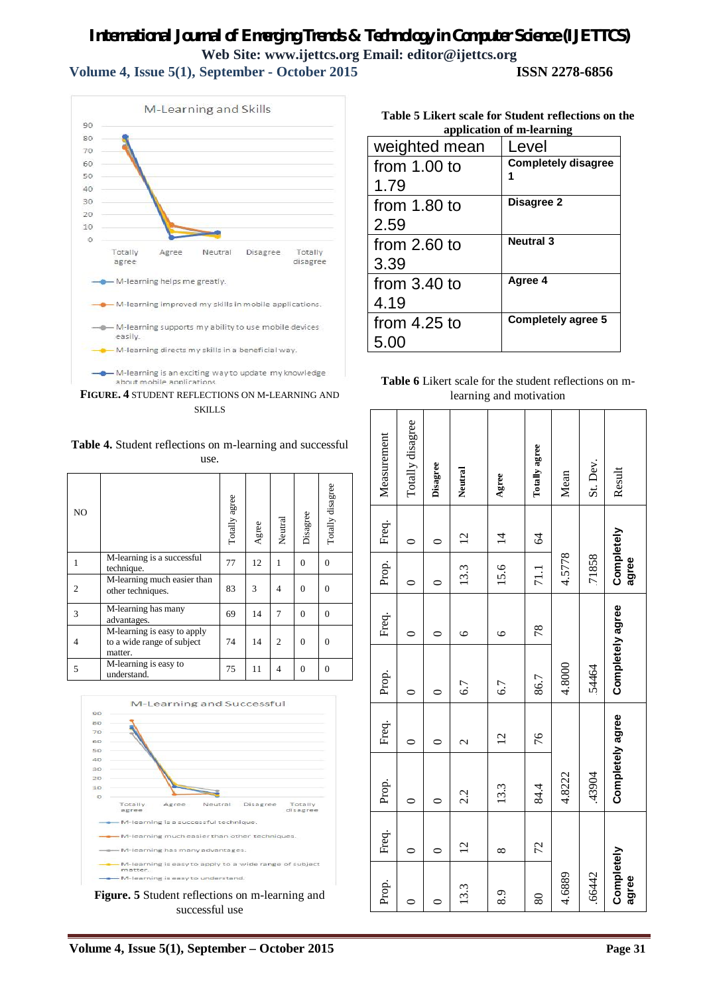**Volume 4, Issue 5(1), September - October 2015 ISSN 2278-6856**



**FIGURE. 4** STUDENT REFLECTIONS ON M-LEARNING AND **SKILLS** 



| <b>Table 4.</b> Student reflections on m-learning and successful |  |
|------------------------------------------------------------------|--|
| use.                                                             |  |

| NO |                                                                      | Totally agree | Agree | Neutral        | Disagree       | Totally disagree |
|----|----------------------------------------------------------------------|---------------|-------|----------------|----------------|------------------|
| 1  | M-learning is a successful<br>technique.                             | 77            | 12    | 1              | $\Omega$       | $\theta$         |
|    | M-learning much easier than<br>other techniques.                     | 83            | 3     | $\overline{4}$ | $\theta$       | $\theta$         |
| 3  | M-learning has many<br>advantages.                                   | 69            | 14    | 7              | $\Omega$       | $\theta$         |
| 4  | M-learning is easy to apply<br>to a wide range of subject<br>matter. | 74            | 14    | $\overline{c}$ | $\overline{0}$ | $\overline{0}$   |
| 5  | M-learning is easy to<br>understand.                                 | 75            | 11    | $\overline{4}$ | $\theta$       | $\Omega$         |



**Figure. 5** Student reflections on m-learning and successful use

|                | Table 5 Likert scale for Student reflections on the |
|----------------|-----------------------------------------------------|
|                | application of m-learning                           |
| weighted mean  | Level                                               |
| from $1.00$ to | <b>Completely disagree</b>                          |
| 1.79           |                                                     |
| from $1.80$ to | Disagree 2                                          |
| 2.59           |                                                     |
| from $2.60$ to | <b>Neutral 3</b>                                    |
| 3.39           |                                                     |
| from $3.40$ to | Agree 4                                             |
| 4.19           |                                                     |
| from $4.25$ to | <b>Completely agree 5</b>                           |
| 5.00           |                                                     |
|                |                                                     |

**Table 6** Likert scale for the student reflections on mlearning and motivation

| Measurement | Totally disagree | Disagree             | Neutral        | Agree          | Totally agree | Mean   | St. Dev. | Result              |
|-------------|------------------|----------------------|----------------|----------------|---------------|--------|----------|---------------------|
| Freq.       | $\circ$          | ⊂                    | $\overline{c}$ | $\overline{4}$ | $\mathcal{A}$ |        |          |                     |
| Prop.       | $\circ$          | ⊂                    | 13.3           | 15.6           | 71.1          | 4.5778 | 71858    | Completely<br>agree |
| Freq.       | $\circ$          | 0                    | $\circ$        | $\circ$        | 78            |        |          |                     |
| Prop.       | $\bullet$        | ⊂                    | 6.7            | 6.7            | 86.7          | 4.8000 | 54464    | Completely agree    |
| Freq.       | 0                | $\mathbf{\sim}$<br>0 |                | $\overline{c}$ | 76            |        |          |                     |
| Prop.       | $\circ$          | $\circ$              | 2.2            | 13.3           | 84.4          | 4.8222 | .43904   | Completely agree    |
| Freq.       | 0                | 0                    | $\overline{c}$ | $\infty$       | 72            |        |          |                     |
| Prop.       |                  |                      | 13.3           | 8.9            | 80            | 4.6889 | .66442   | Completely<br>agree |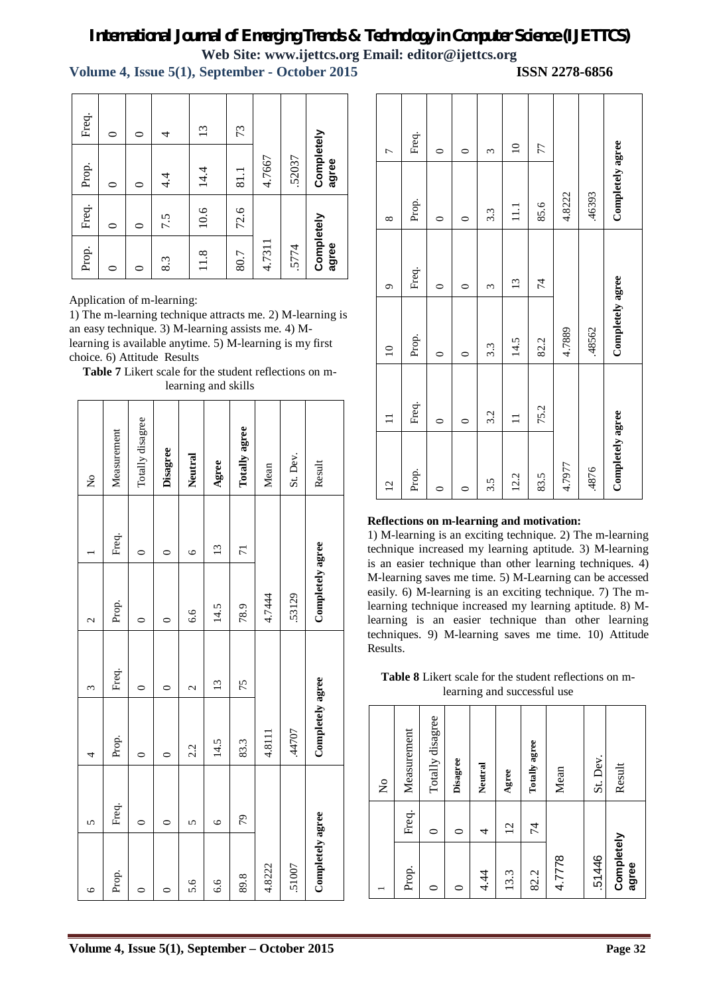**Volume 4, Issue 5(1), September - October 2015 ISSN 2278-6856**

| Prop.               | Freq. | Prop.               | Freq.          |
|---------------------|-------|---------------------|----------------|
| ⌒                   | 0     | 0                   | 0              |
| 0                   | 0     | $\circ$             | 0              |
| 8.3                 | 7.5   | $4\cdot$            | 4              |
| 11.8                | 10.6  | 14.4                | $\mathfrak{L}$ |
| 80.7                | 72.6  | 81.1                | 73             |
| 4.7311              |       | 4.7667              |                |
| .5774               |       | .52037              |                |
| Completely<br>agree |       | Completely<br>agree |                |

# **Table 7** Likert scale for the student reflections on mlearning and skills

| Freq.                                                                                                           | $\circ$     | $\circ$          | 4               | 13         |         | 73                  |        |                                                                                                                                                                                                                   |                                                                                                                                                                                 |                             | Freq.       |                    |                    |                 |                         |                |                                           |          |                                                                                                                                                                                                                                            |
|-----------------------------------------------------------------------------------------------------------------|-------------|------------------|-----------------|------------|---------|---------------------|--------|-------------------------------------------------------------------------------------------------------------------------------------------------------------------------------------------------------------------|---------------------------------------------------------------------------------------------------------------------------------------------------------------------------------|-----------------------------|-------------|--------------------|--------------------|-----------------|-------------------------|----------------|-------------------------------------------|----------|--------------------------------------------------------------------------------------------------------------------------------------------------------------------------------------------------------------------------------------------|
| Prop.                                                                                                           | $\circ$     | $\circ$          | $4\cdot$        | 14.4       |         | 81.1                | 4.7667 | 52037                                                                                                                                                                                                             | Completely<br>agree                                                                                                                                                             | $\overline{ }$              |             | $\circ$            | $\circ$            | $\epsilon$      | $\overline{10}$         | 77             |                                           |          | Completely agree                                                                                                                                                                                                                           |
| Freq.                                                                                                           | $\circ$     | $\circ$          | 7.5             | 10.6       |         | 72.6                |        |                                                                                                                                                                                                                   |                                                                                                                                                                                 | $\infty$                    | Prop.       | $\circ$            | $\circ$            | 3.3             | $\Xi$                   | 85.6           | 4.8222                                    | .46393   |                                                                                                                                                                                                                                            |
| Prop.                                                                                                           | $\circ$     | $\circ$          | 8.3             | 11.8       |         | 80.7                | 4.7311 | 5774                                                                                                                                                                                                              | Completely<br>agree                                                                                                                                                             |                             | Freq.       |                    |                    |                 |                         |                |                                           |          |                                                                                                                                                                                                                                            |
| Application of m-learning:<br>an easy technique. 3) M-learning assists me. 4) M-<br>choice. 6) Attitude Results |             |                  |                 |            |         |                     |        |                                                                                                                                                                                                                   | 1) The m-learning technique attracts me. 2) M-learning is<br>learning is available anytime. 5) M-learning is my first<br>Table 7 Likert scale for the student reflections on m- | $\sigma$<br>$\overline{10}$ | Prop.       | $\circ$<br>$\circ$ | $\circ$<br>$\circ$ | $\infty$<br>3.3 | $\overline{13}$<br>14.5 | 74<br>82.2     | 4.7889                                    | 48562    | Completely agree                                                                                                                                                                                                                           |
|                                                                                                                 |             |                  |                 |            |         | learning and skills |        |                                                                                                                                                                                                                   |                                                                                                                                                                                 | $\Box$                      | Freq.       | $\circ$            | $\circ$            | 3.2             | $\equiv$                | 75.2           |                                           |          |                                                                                                                                                                                                                                            |
| $\tilde{z}$                                                                                                     | Measurement | Totally disagree | <b>Disagree</b> | Neutral    | Agree   | Totally agree       | Mean   | St. Dev.                                                                                                                                                                                                          | Result                                                                                                                                                                          | $\overline{2}$              | Prop.       | $\circ$            | $\circ$            | 3.5             | 12.2                    | 83.5           | 4.7977                                    | 4876     | Completely agree                                                                                                                                                                                                                           |
|                                                                                                                 | Freq.       | $\circ$          | $\circ$         | $\circ$    | 13      | $\overline{7}$      |        |                                                                                                                                                                                                                   |                                                                                                                                                                                 |                             |             |                    |                    |                 |                         |                | Reflections on m-learning and motivation: |          | 1) M-learning is an exciting technique. 2) The m-learning<br>technique increased my learning aptitude. 3) M-learning                                                                                                                       |
| $\mathbf{C}$                                                                                                    | Prop.       | $\circ$          | $\circ$         | 6.6        | 14.5    | 78.9                | 4.7444 | .53129                                                                                                                                                                                                            | Completely agree                                                                                                                                                                |                             |             |                    |                    |                 |                         |                |                                           |          | is an easier technique than other learning techniques. 4<br>M-learning saves me time. 5) M-Learning can be accessed<br>easily. 6) M-learning is an exciting technique. 7) The m<br>learning technique increased my learning aptitude. 8) M |
| $\epsilon$                                                                                                      | Freq.       | $\circ$          | $\circ$         | $\sim$     | 13      | 75                  |        | learning is an easier technique than other learning<br>techniques. 9) M-learning saves me time. 10) Attitude<br>Results.<br>Table 8 Likert scale for the student reflections on m-<br>learning and successful use |                                                                                                                                                                                 |                             |             |                    |                    |                 |                         |                |                                           |          |                                                                                                                                                                                                                                            |
| 4                                                                                                               | Prop.       | $\circ$          | $\circ$         | 2.2        | 14.5    | 83.3                | 4.8111 | 44707                                                                                                                                                                                                             | Completely agree                                                                                                                                                                |                             | Measurement | Totally disagree   |                    |                 |                         | Totally agree  |                                           |          |                                                                                                                                                                                                                                            |
|                                                                                                                 |             |                  |                 |            |         |                     |        |                                                                                                                                                                                                                   |                                                                                                                                                                                 | $\mathsf{S}^{\mathsf{O}}$   |             |                    | Disagree           | Neutral         | Agree                   |                | Mean                                      | St. Dev. | Result                                                                                                                                                                                                                                     |
| $\Omega$                                                                                                        | Freq.       | $\circ$          | $\circ$         | $\sqrt{2}$ | $\circ$ | 29                  |        |                                                                                                                                                                                                                   |                                                                                                                                                                                 |                             | Freq.       | $\circ$            | $\circ$            | 4               | $\overline{2}$          | $\overline{7}$ |                                           |          |                                                                                                                                                                                                                                            |
| $\circ$                                                                                                         | Prop.       | $\circ$          | $\circ$         | 5.6        | 6.6     | 89.8                | 4.8222 | 51007                                                                                                                                                                                                             | Completely agree                                                                                                                                                                |                             | Prop.       | $\circ$            | $\circ$            | 4.4             | 13.3                    | 82.2           | 4.7778                                    | 51446    | Completely<br>agree                                                                                                                                                                                                                        |
|                                                                                                                 |             |                  |                 |            |         |                     |        |                                                                                                                                                                                                                   | Volume 4, Issue 5(1), September - October 2015                                                                                                                                  |                             |             |                    |                    |                 |                         |                |                                           |          | Page 32                                                                                                                                                                                                                                    |

| $\overline{12}$  | $\Xi$    | $\overline{10}$  | $\sigma$        | $\infty$         | $\overline{a}$ |
|------------------|----------|------------------|-----------------|------------------|----------------|
| Prop.            | Freq.    | Prop.            | Freq.           | Prop.            | Freq.          |
|                  | $\circ$  | $\circ$          | $\circ$         | $\circ$          | $\circ$        |
|                  | $\circ$  | $\circ$          | $\circ$         | $\circ$          | $\circ$        |
| 3.5              | 3.2      | 3.3              | 3               | 3.3              | 3              |
| 12.2             | $\equiv$ | 14.5             | $\overline{13}$ | $\Xi$            | $\overline{a}$ |
| 83.5             | 75.2     | 82.2             | 74              | 85.6             | 77             |
| 4.7977           |          | 4.7889           |                 | 4.8222           |                |
| .4876            |          | .48562           |                 | .46393           |                |
| Completely agree |          | Completely agree |                 | Completely agree |                |

# **Reflections on m-learning and motivation:**

**Table 8** Likert scale for the student reflections on mlearning and successful use

|                     |                | $\tilde{z}$      |
|---------------------|----------------|------------------|
| Prop.               | Freq.          | Measurement      |
|                     | 0              | Totally disagree |
|                     | 0              | Disagree         |
| 4.44                | 4              | Neutral          |
| 13.3                | $\overline{2}$ | Agree            |
| 82.2                | 74             | Totally agree    |
| 4.7778              |                | Mean             |
| 51446               |                | St. Dev.         |
| Completely<br>agree |                | Result           |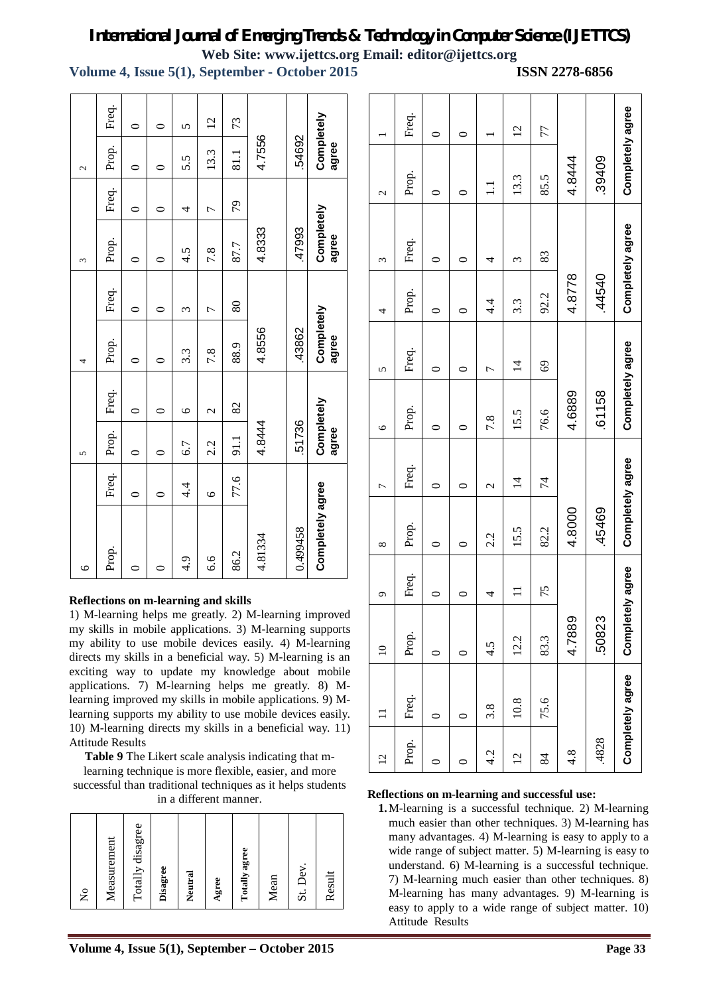**Volume 4, Issue 5(1), September - October 2015 ISSN 2278-6856**

| $\circ$          |         | 5                   |               | 4                   |         | 3                   |                | $\mathcal{L}$       |                |
|------------------|---------|---------------------|---------------|---------------------|---------|---------------------|----------------|---------------------|----------------|
| Prop.            | Freq.   | Prop.               | Freq.         | Prop.               | Freq.   | Prop.               | Freq.          | Prop.               | Freq.          |
|                  |         | 0                   | 0             | $\circ$             | $\circ$ |                     |                | 0                   | $\circ$        |
|                  |         |                     | 0             | 0                   | 0       |                     |                |                     | 0              |
| 4.9              | 4.4     | 6.7                 | $\circ$       | 3.3                 | 3       | 4.5                 | 4              | 5.5                 | $\overline{5}$ |
| 6.6              | $\circ$ | 2.2                 | $\mathcal{C}$ | 7.8                 |         | 7.8                 | $\overline{ }$ | 13.3                | $\overline{c}$ |
| 86.2             | 77.6    | 91.1                | 82            | 88.9                | 80      | 87.7                | 79             | 81.1                | 73             |
| 4.81334          |         | 4.8444              |               | 4.8556              |         | 4.8333              |                | 4.7556              |                |
| 0.499458         |         | 51736               |               | 43862               |         | 47993               |                | 54692               |                |
| Completely agree |         | Completely<br>agree |               | Completely<br>agree |         | Completely<br>agree |                | Completely<br>agree |                |

# **Reflections on m-learning and skills**

1) M-learning helps me greatly. 2) M-learning improved my skills in mobile applications. 3) M-learning supports my ability to use mobile devices easily. 4) M-learning directs my skills in a beneficial way. 5) M-learning is an exciting way to update my knowledge about mobile applications. 7) M-learning helps me greatly. 8) Mlearning improved my skills in mobile applications. 9) Mlearning supports my ability to use mobile devices easily. 10) M-learning directs my skills in a beneficial way. 11) Attitude Results

**Table 9** The Likert scale analysis indicating that m-

learning technique is more flexible, easier, and more successful than traditional techniques as it helps students in a different manner.

| $\tilde{z}$      |
|------------------|
| Measurement      |
| Totally disagree |
| Disagree         |
| Neutral          |
| Agree            |
| Totally agree    |
| Mean             |
| St. Dev.         |
| Result           |

|                | Freq. | ⊂ | 0 |       | $\overline{c}$ | 77   | 4.8444           |        | Completely agree |
|----------------|-------|---|---|-------|----------------|------|------------------|--------|------------------|
| 2              | Prop. | 0 | 0 | $\Xi$ | 13.3           | 85.5 |                  | .39409 |                  |
| Σ              | Freq. |   |   | 4     | 3              | 83   | 4.8778           | .44540 |                  |
| 4              | Prop. | ⊂ | 0 | 4.4   | 3.3            | 92.2 |                  |        | Completely agree |
| 5              | Freq. | 0 | 0 | 7     | $\overline{4}$ | 69   | 4.6889           | 61158  | Completely agree |
| $\circ$        | Prop. | ⊂ | 0 | 7.8   | 15.5           | 76.6 |                  |        |                  |
| Γ              | Freq. | ⊂ | 0 | 2     | $\overline{4}$ | 74   | 4.8000           | 45469  | Completely agree |
| $^{\circ}$     | Prop. |   |   | 2.2   | 15.5           | 82.2 |                  |        |                  |
| G              | Freq. | ⊂ | 0 | 4     | Ξ              | 75   |                  |        |                  |
| $\supseteq$    | Prop. |   |   | 4.5   | 12.2           | 83.3 | 4.7889           | 50823  | Completely agree |
|                | Freq. |   | 0 | 3.8   | 10.8           | 75.6 | $4.\overline{8}$ |        | Completely agree |
| $\overline{c}$ | Prop. | ∊ | 0 | 4.2   | $\overline{2}$ | 84   |                  | .4828  |                  |

#### **Reflections on m-learning and successful use:**

**1.**M-learning is a successful technique. 2) M-learning much easier than other techniques. 3) M-learning has many advantages. 4) M-learning is easy to apply to a wide range of subject matter. 5) M-learning is easy to understand. 6) M-learning is a successful technique. 7) M-learning much easier than other techniques. 8) M-learning has many advantages. 9) M-learning is easy to apply to a wide range of subject matter. 10) Attitude Results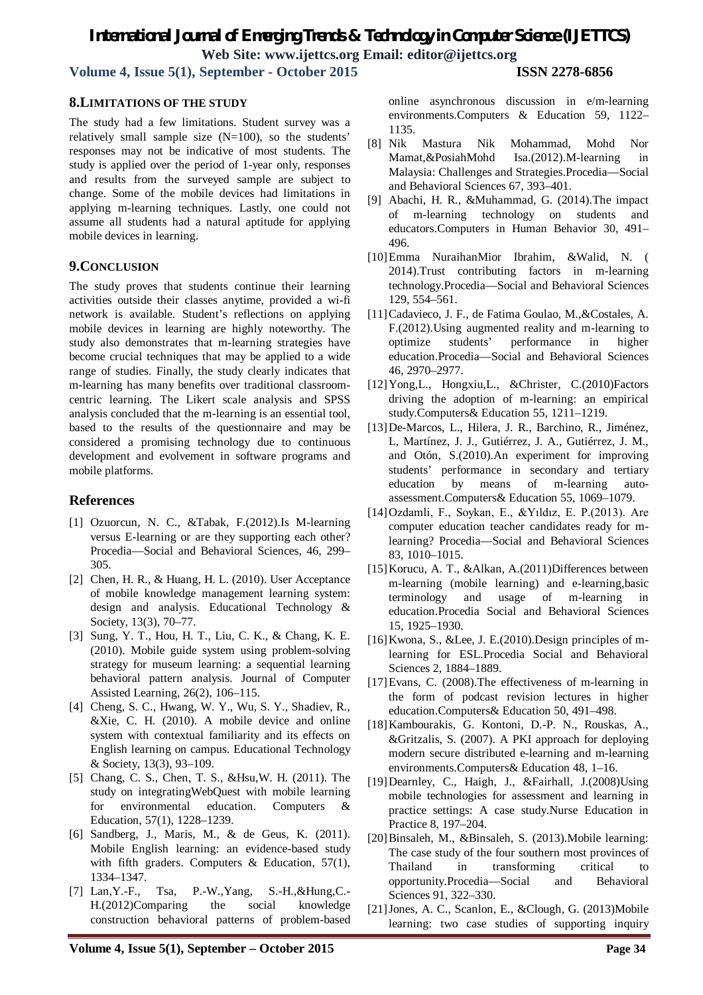**Volume 4, Issue 5(1), September - October 2015 ISSN 2278-6856**

# **8.LIMITATIONS OF THE STUDY**

The study had a few limitations. Student survey was a relatively small sample size  $(N=100)$ , so the students' responses may not be indicative of most students. The study is applied over the period of 1-year only, responses and results from the surveyed sample are subject to change. Some of the mobile devices had limitations in applying m-learning techniques. Lastly, one could not assume all students had a natural aptitude for applying mobile devices in learning.

# **9.CONCLUSION**

The study proves that students continue their learning activities outside their classes anytime, provided a wi-fi network is available. Student's reflections on applying mobile devices in learning are highly noteworthy. The study also demonstrates that m-learning strategies have become crucial techniques that may be applied to a wide range of studies. Finally, the study clearly indicates that m-learning has many benefits over traditional classroomcentric learning. The Likert scale analysis and SPSS analysis concluded that the m-learning is an essential tool, based to the results of the questionnaire and may be considered a promising technology due to continuous development and evolvement in software programs and mobile platforms.

# **References**

- [1] Ozuorcun, N. C., &Tabak, F.(2012).Is M-learning versus E-learning or are they supporting each other? Procedia—Social and Behavioral Sciences, 46, 299– 305.
- [2] Chen, H. R., & Huang, H. L. (2010). User Acceptance of mobile knowledge management learning system: design and analysis. Educational Technology & Society, 13(3), 70–77.
- [3] Sung, Y. T., Hou, H. T., Liu, C. K., & Chang, K. E. (2010). Mobile guide system using problem-solving strategy for museum learning: a sequential learning behavioral pattern analysis. Journal of Computer Assisted Learning, 26(2), 106–115.
- [4] Cheng, S. C., Hwang, W. Y., Wu, S. Y., Shadiev, R., &Xie, C. H. (2010). A mobile device and online system with contextual familiarity and its effects on English learning on campus. Educational Technology & Society, 13(3), 93–109.
- [5] Chang, C. S., Chen, T. S., &Hsu,W. H. (2011). The study on integratingWebQuest with mobile learning for environmental education. Computers & Education, 57(1), 1228–1239.
- [6] Sandberg, J., Maris, M., & de Geus, K. (2011). Mobile English learning: an evidence-based study with fifth graders. Computers  $\&$  Education, 57(1), 1334–1347.
- [7] Lan,Y.-F., Tsa, P.-W.,Yang, S.-H.,&Hung,C.- H.(2012)Comparing the social knowledge construction behavioral patterns of problem-based

online asynchronous discussion in e/m-learning environments.Computers & Education 59, 1122– 1135.

- [8] Nik Mastura Nik Mohammad, Mohd Nor Mamat,&PosiahMohd Isa.(2012).M-learning in Malaysia: Challenges and Strategies.Procedia—Social and Behavioral Sciences 67, 393–401.
- [9] Abachi, H. R., &Muhammad, G. (2014).The impact of m-learning technology on students and educators.Computers in Human Behavior 30, 491– 496.
- [10]Emma NuraihanMior Ibrahim, &Walid, N. ( 2014).Trust contributing factors in m-learning technology.Procedia—Social and Behavioral Sciences 129, 554–561.
- [11]Cadavieco, J. F., de Fatima Goulao, M.,&Costales, A. F.(2012).Using augmented reality and m-learning to optimize students' performance in higher education.Procedia—Social and Behavioral Sciences 46, 2970–2977.
- [12]Yong,L., Hongxiu,L., &Christer, C.(2010)Factors driving the adoption of m-learning: an empirical study.Computers& Education 55, 1211–1219.
- [13]De-Marcos, L., Hilera, J. R., Barchino, R., Jiménez, L, Martínez, J. J., Gutiérrez, J. A., Gutiérrez, J. M., and Otón, S.(2010).An experiment for improving students' performance in secondary and tertiary education by means of m-learning autoassessment.Computers& Education 55, 1069–1079.
- [14]Ozdamli, F., Soykan, E., &Yıldız, E. P.(2013). Are computer education teacher candidates ready for mlearning? Procedia—Social and Behavioral Sciences 83, 1010–1015.
- [15]Korucu, A. T., &Alkan, A.(2011)Differences between m-learning (mobile learning) and e-learning,basic terminology and usage of m-learning in education.Procedia Social and Behavioral Sciences 15, 1925–1930.
- [16]Kwona, S., &Lee, J. E.(2010).Design principles of mlearning for ESL.Procedia Social and Behavioral Sciences 2, 1884–1889.
- [17]Evans, C. (2008).The effectiveness of m-learning in the form of podcast revision lectures in higher education.Computers& Education 50, 491–498.
- [18]Kambourakis, G. Kontoni, D.-P. N., Rouskas, A., &Gritzalis, S. (2007). A PKI approach for deploying modern secure distributed e-learning and m-learning environments.Computers& Education 48, 1–16.
- [19]Dearnley, C., Haigh, J., &Fairhall, J.(2008)Using mobile technologies for assessment and learning in practice settings: A case study.Nurse Education in Practice 8, 197–204.
- [20]Binsaleh, M., &Binsaleh, S. (2013).Mobile learning: The case study of the four southern most provinces of Thailand in transforming critical to opportunity.Procedia—Social and Behavioral Sciences 91, 322–330.
- [21]Jones, A. C., Scanlon, E., &Clough, G. (2013)Mobile learning: two case studies of supporting inquiry